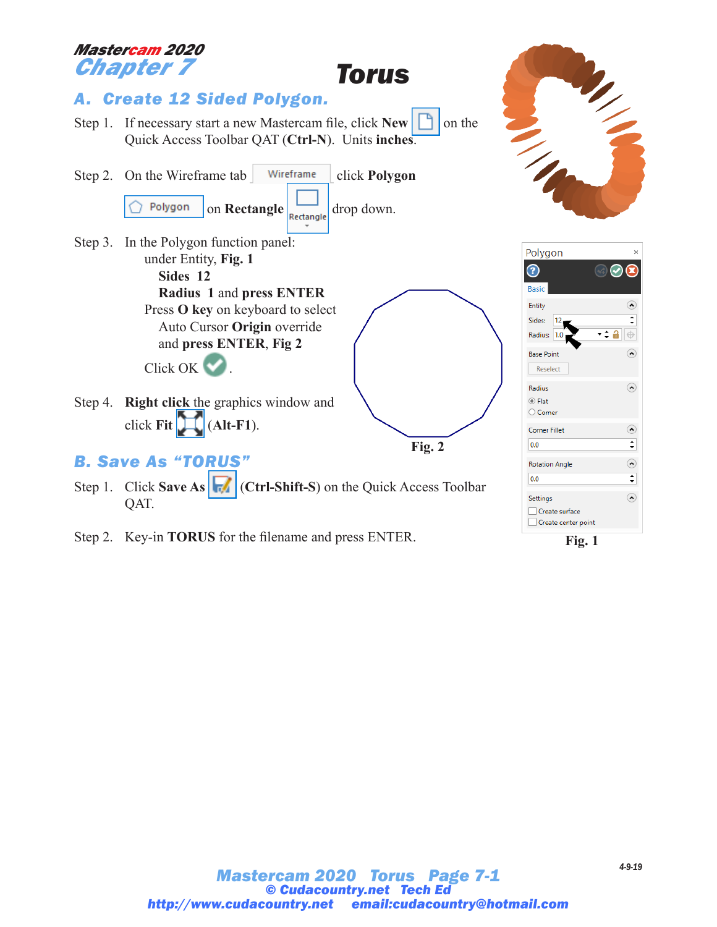

Step 2. Key-in **TORUS** for the filename and press ENTER.

**Fig. 1**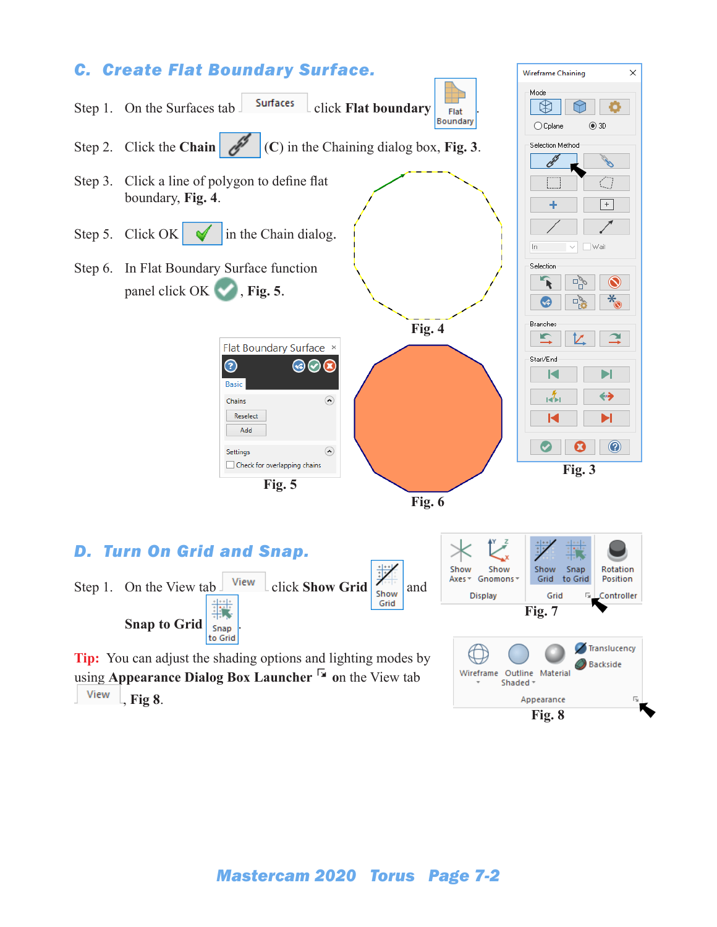

View , **Fig 8**.

*Mastercam 2020 Torus Page 7-2*

**Fig. 8**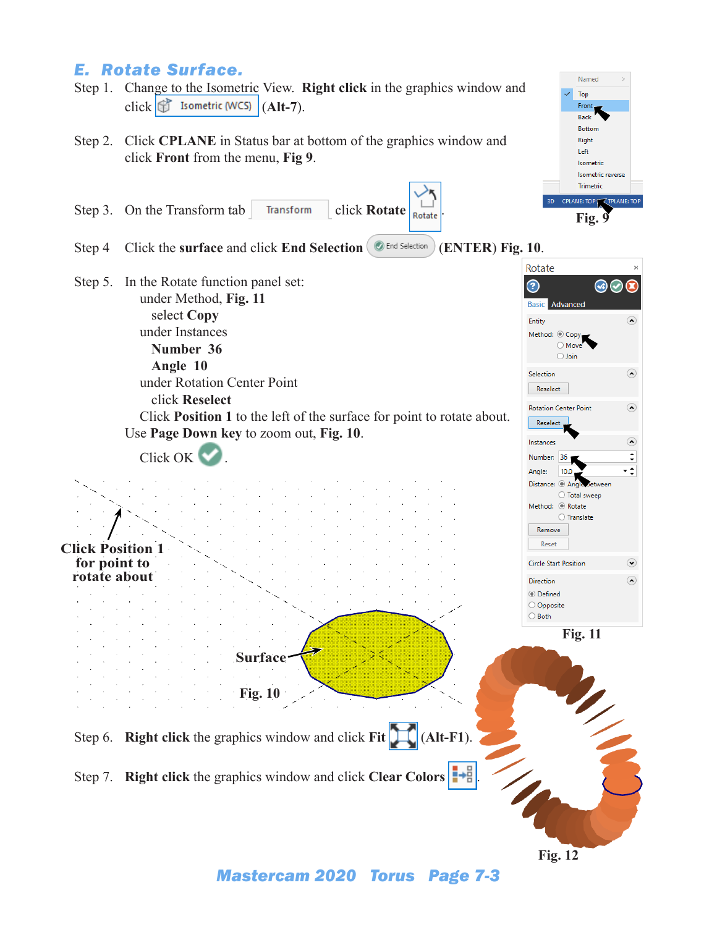## *E. Rotate Surface.*

- Step 1. Change to the Isometric View. **Right click** in the graphics window and click **f** Isometric (WCS) (Alt-7).
- Step 2. Click **CPLANE** in Status bar at bottom of the graphics window and click **Front** from the menu, **Fig 9**.
- Step 3. On the Transform tab Transform click **Rotate** Rotate
- Step 4 Click the **surface** and click **End Selection** (**ENTER**) **Fig. 10**.
- Step 5. In the Rotate function panel set: under Method, **Fig. 11** select **Copy** under Instances **Number 36 Angle 10**

under Rotation Center Point click **Reselect** Click **Position 1** to the left of the surface for point to rotate about.



Left Isometric Isometric reverse Trimetrio CPLANE: TOP **TOP TAILE: TO Fig. 9** Rotate

 $\odot$   $\odot$   $\alpha$ 

 $\odot$ 

 $\Omega$ 

 $\odot$ 

⊙

Entity

Selection

Reselect Rotation Center Point

Reselect

**Basic** Advanced

Method:  $\circledcirc$  Copy  $\bigcirc$  Move  $\bigcirc$  Join

Named Top Fron Back **Bottom** Right

**Fig. 12**

*Mastercam 2020 Torus Page 7-3*